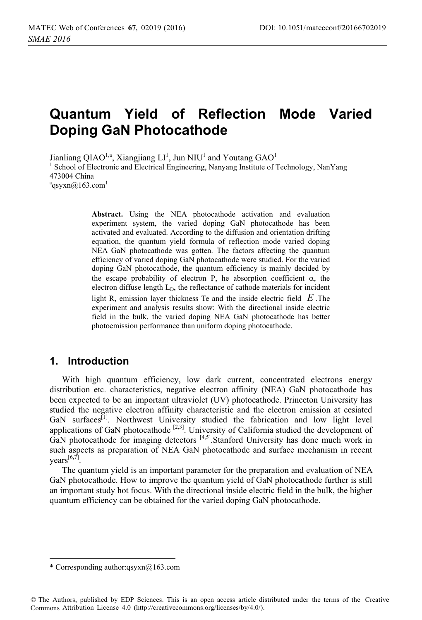# **Quantum Yield of Reflection Mode Varied Doping GaN Photocathode**

Jianliang QIAO<sup>1,a</sup>, Xiangjiang LI<sup>1</sup>, Jun NIU<sup>1</sup> and Youtang GAO<sup>1</sup> <sup>1</sup> School of Electronic and Electrical Engineering, Nanyang Institute of Technology, NanYang 473004 China  $a<sup>a</sup>$ qsyxn@163.com<sup>1</sup>

> **Abstract.** Using the NEA photocathode activation and evaluation experiment system, the varied doping GaN photocathode has been activated and evaluated. According to the diffusion and orientation drifting equation, the quantum yield formula of reflection mode varied doping NEA GaN photocathode was gotten. The factors affecting the quantum efficiency of varied doping GaN photocathode were studied. For the varied doping GaN photocathode, the quantum efficiency is mainly decided by the escape probability of electron P, he absorption coefficient  $\alpha$ , the electron diffuse length  $L<sub>D</sub>$ , the reflectance of cathode materials for incident

> light R, emission layer thickness Te and the inside electric field *E* .The experiment and analysis results show: With the directional inside electric field in the bulk, the varied doping NEA GaN photocathode has better photoemission performance than uniform doping photocathode.

## **1. Introduction**

With high quantum efficiency, low dark current, concentrated electrons energy distribution etc. characteristics, negative electron affinity (NEA) GaN photocathode has been expected to be an important ultraviolet (UV) photocathode. Princeton University has studied the negative electron affinity characteristic and the electron emission at cesiated GaN surfaces<sup>[1]</sup>. Northwest University studied the fabrication and low light level applications of GaN photocathode  $[2,3]$ . University of California studied the development of GaN photocathode for imaging detectors  $[4,5]$ . Stanford University has done much work in such aspects as preparation of NEA GaN photocathode and surface mechanism in recent years<sup>[6,7]</sup>.

The quantum yield is an important parameter for the preparation and evaluation of NEA GaN photocathode. How to improve the quantum yield of GaN photocathode further is still an important study hot focus. With the directional inside electric field in the bulk, the higher quantum efficiency can be obtained for the varied doping GaN photocathode.

 $\ddot{ }$ 

<sup>\*</sup> Corresponding author:qsyxn@163.com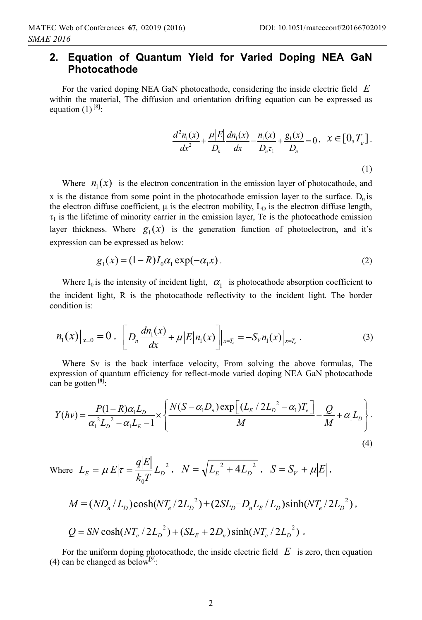## **2. Equation of Quantum Yield for Varied Doping NEA GaN Photocathode**

For the varied doping NEA GaN photocathode, considering the inside electric field *E* within the material, The diffusion and orientation drifting equation can be expressed as equation  $(1)$ <sup>[8]</sup>:

$$
\frac{d^2 n_1(x)}{dx^2} + \frac{\mu |E|}{D_n} \frac{dn_1(x)}{dx} - \frac{n_1(x)}{D_n \tau_1} + \frac{g_1(x)}{D_n} = 0, \quad x \in [0, T_e].
$$
\n(1)

Where  $n_1(x)$  is the electron concentration in the emission layer of photocathode, and x is the distance from some point in the photocathode emission layer to the surface.  $D_n$  is the electron diffuse coefficient,  $\mu$  is the electron mobility,  $L_D$  is the electron diffuse length,  $\tau_1$  is the lifetime of minority carrier in the emission layer, Te is the photocathode emission layer thickness. Where  $g_1(x)$  is the generation function of photoelectron, and it's expression can be expressed as below:

$$
g_1(x) = (1 - R)I_0 \alpha_1 \exp(-\alpha_1 x) \tag{2}
$$

Where  $I_0$  is the intensity of incident light,  $\alpha_1$  is photocathode absorption coefficient to the incident light, R is the photocathode reflectivity to the incident light. The border condition is:

$$
n_1(x)|_{x=0} = 0, \quad \left[ D_n \frac{dn_1(x)}{dx} + \mu \left| E \right| n_1(x) \right] \Big|_{x=T_e} = -S_{\nu} n_1(x)|_{x=T_e} \,. \tag{3}
$$

Where Sv is the back interface velocity, From solving the above formulas, The expression of quantum efficiency for reflect-mode varied doping NEA GaN photocathode can be gotten **[8]**:

$$
Y(hv) = \frac{P(1 - R)\alpha_1 L_D}{\alpha_1^2 L_D^2 - \alpha_1 L_E - 1} \times \left\{ \frac{N(S - \alpha_1 D_n) \exp\left[ (L_E / 2L_D^2 - \alpha_1) T_e \right]}{M} - \frac{Q}{M} + \alpha_1 L_D \right\}.
$$
\n(4)

\nwhere \n
$$
L_E = \mu \left| E \right| \tau = \frac{q \left| E \right|}{k_0 T} \, L_D^2, \quad N = \sqrt{L_E^2 + 4L_D^2}, \quad S = S_V + \mu \left| E \right|,
$$
\n
$$
M = \left( N_D / L_D \right) \cosh\left( N_T / 2L_D^2 \right) + \left( 2SL_D - D_n L_E / L_D \right) \sinh\left( N_T / 2L_D^2 \right),
$$
\n
$$
Q = SN \cosh\left( N_T / 2L_D^2 \right) + \left( SL_E + 2D_n \right) \sinh\left( N_T / 2L_D^2 \right).
$$
\n

For the uniform doping photocathode, the inside electric field  $E$  is zero, then equation (4) can be changed as below<sup>[9]</sup>: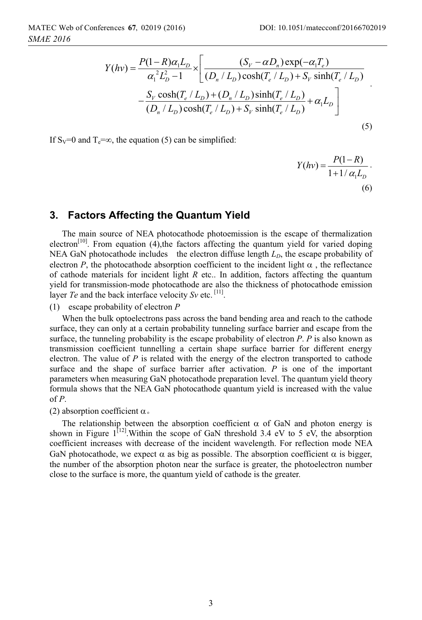$$
Y(hv) = \frac{P(1 - R)\alpha_1 L_D}{\alpha_1^2 L_D^2 - 1} \times \left[ \frac{(S_V - \alpha D_n) \exp(-\alpha_1 T_e)}{(D_n / L_D) \cosh(T_e / L_D) + S_V \sinh(T_e / L_D)} - \frac{S_V \cosh(T_e / L_D) + (D_n / L_D) \sinh(T_e / L_D)}{(D_n / L_D) \cosh(T_e / L_D) + S_V \sinh(T_e / L_D)} + \alpha_1 L_D \right]
$$
(5)

If  $S_V=0$  and  $T_e=\infty$ , the equation (5) can be simplified:

$$
Y(hv) = \frac{P(1 - R)}{1 + 1/\alpha_1 L_D}.
$$
\n(6)

#### **3. Factors Affecting the Quantum Yield**

The main source of NEA photocathode photoemission is the escape of thermalization electron<sup>[10]</sup>. From equation (4), the factors affecting the quantum yield for varied doping NEA GaN photocathode includes the electron diffuse length  $L<sub>D</sub>$ , the escape probability of electron  $P$ , the photocathode absorption coefficient to the incident light  $\alpha$ , the reflectance of cathode materials for incident light *R* etc.. In addition, factors affecting the quantum yield for transmission-mode photocathode are also the thickness of photocathode emission layer *Te* and the back interface velocity *Sv* etc. <sup>[11]</sup>.

(1) escape probability of electron *P*

When the bulk optoelectrons pass across the band bending area and reach to the cathode surface, they can only at a certain probability tunneling surface barrier and escape from the surface, the tunneling probability is the escape probability of electron *P*. *P* is also known as transmission coefficient tunnelling a certain shape surface barrier for different energy electron. The value of *P* is related with the energy of the electron transported to cathode surface and the shape of surface barrier after activation. *P* is one of the important parameters when measuring GaN photocathode preparation level. The quantum yield theory formula shows that the NEA GaN photocathode quantum yield is increased with the value of *P*.

(2) absorption coefficient  $\alpha$ .

The relationship between the absorption coefficient  $\alpha$  of GaN and photon energy is shown in Figure  $1^{[12]}$ . Within the scope of GaN threshold 3.4 eV to 5 eV, the absorption coefficient increases with decrease of the incident wavelength. For reflection mode NEA GaN photocathode, we expect  $\alpha$  as big as possible. The absorption coefficient  $\alpha$  is bigger, the number of the absorption photon near the surface is greater, the photoelectron number close to the surface is more, the quantum yield of cathode is the greater.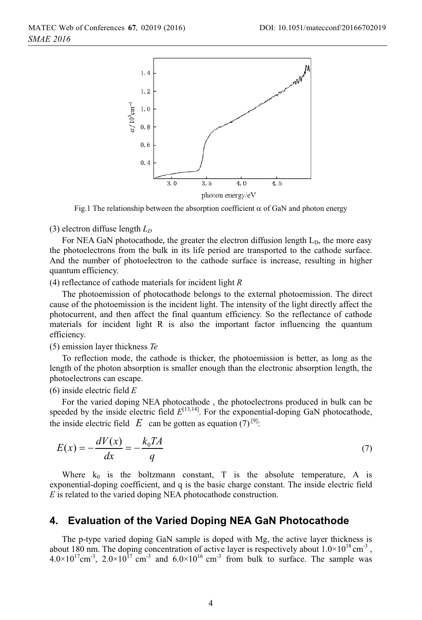

Fig.1 The relationship between the absorption coefficient  $\alpha$  of GaN and photon energy

(3) electron diffuse length  $L<sub>D</sub>$ 

For NEA GaN photocathode, the greater the electron diffusion length  $L<sub>D</sub>$ , the more easy the photoelectrons from the bulk in its life period are transported to the cathode surface. And the number of photoelectron to the cathode surface is increase, resulting in higher quantum efficiency.

(4) reflectance of cathode materials for incident light *R*

The photoemission of photocathode belongs to the external photoemission. The direct cause of the photoemission is the incident light. The intensity of the light directly affect the photocurrent, and then affect the final quantum efficiency. So the reflectance of cathode materials for incident light R is also the important factor influencing the quantum efficiency.

(5) emission layer thickness *Te*

To reflection mode, the cathode is thicker, the photoemission is better, as long as the length of the photon absorption is smaller enough than the electronic absorption length, the photoelectrons can escape.

(6) inside electric field *E*

For the varied doping NEA photocathode , the photoelectrons produced in bulk can be speeded by the inside electric field  $E^{[13,14]}$ . For the exponential-doping GaN photocathode, the inside electric field  $E$  can be gotten as equation (7)<sup>[9]</sup>:

$$
E(x) = -\frac{dV(x)}{dx} = -\frac{k_0 TA}{q}
$$
\n<sup>(7)</sup>

Where  $k_0$  is the boltzmann constant, T is the absolute temperature, A is exponential-doping coefficient, and q is the basic charge constant. The inside electric field *E* is related to the varied doping NEA photocathode construction.

#### **4. Evaluation of the Varied Doping NEA GaN Photocathode**

The p-type varied doping GaN sample is doped with Mg, the active layer thickness is about 180 nm. The doping concentration of active layer is respectively about  $1.0 \times 10^{18}$  cm<sup>-3</sup>,  $4.0\times10^{17}$ cm<sup>-3</sup>,  $2.0\times10^{17}$  cm<sup>-3</sup> and  $6.0\times10^{16}$  cm<sup>-3</sup> from bulk to surface. The sample was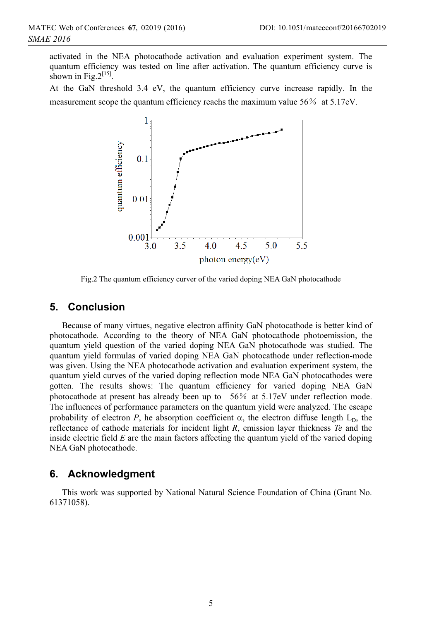activated in the NEA photocathode activation and evaluation experiment system. The quantum efficiency was tested on line after activation. The quantum efficiency curve is shown in Fig. $2^{[15]}$ .

At the GaN threshold 3.4 eV, the quantum efficiency curve increase rapidly. In the measurement scope the quantum efficiency reachs the maximum value  $56\%$  at  $5.17$ eV.



Fig.2 The quantum efficiency curver of the varied doping NEA GaN photocathode

## **5. Conclusion**

Because of many virtues, negative electron affinity GaN photocathode is better kind of photocathode. According to the theory of NEA GaN photocathode photoemission, the quantum yield question of the varied doping NEA GaN photocathode was studied. The quantum yield formulas of varied doping NEA GaN photocathode under reflection-mode was given. Using the NEA photocathode activation and evaluation experiment system, the quantum yield curves of the varied doping reflection mode NEA GaN photocathodes were gotten. The results shows: The quantum efficiency for varied doping NEA GaN photocathode at present has already been up to 56% at 5.17eV under reflection mode. The influences of performance parameters on the quantum yield were analyzed. The escape probability of electron  $P$ , he absorption coefficient  $\alpha$ , the electron diffuse length  $L<sub>D</sub>$ , the reflectance of cathode materials for incident light *R*, emission layer thickness *Te* and the inside electric field *E* are the main factors affecting the quantum yield of the varied doping NEA GaN photocathode.

## **6. Acknowledgment**

This work was supported by National Natural Science Foundation of China (Grant No. 61371058).